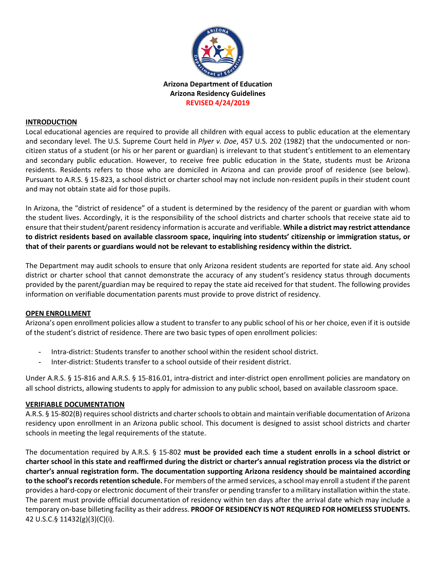

#### **INTRODUCTION**

Local educational agencies are required to provide all children with equal access to public education at the elementary and secondary level. The U.S. Supreme Court held in *Plyer v. Doe*, 457 U.S. 202 (1982) that the undocumented or noncitizen status of a student (or his or her parent or guardian) is irrelevant to that student's entitlement to an elementary and secondary public education. However, to receive free public education in the State, students must be Arizona residents. Residents refers to those who are domiciled in Arizona and can provide proof of residence (see below). Pursuant to A.R.S. § 15-823, a school district or charter school may not include non-resident pupils in their student count and may not obtain state aid for those pupils.

In Arizona, the "district of residence" of a student is determined by the residency of the parent or guardian with whom the student lives. Accordingly, it is the responsibility of the school districts and charter schools that receive state aid to ensure that their student/parent residency information is accurate and verifiable. **While a district may restrict attendance to district residents based on available classroom space, inquiring into students' citizenship or immigration status, or that of their parents or guardians would not be relevant to establishing residency within the district.**

The Department may audit schools to ensure that only Arizona resident students are reported for state aid. Any school district or charter school that cannot demonstrate the accuracy of any student's residency status through documents provided by the parent/guardian may be required to repay the state aid received for that student. The following provides information on verifiable documentation parents must provide to prove district of residency.

#### **OPEN ENROLLMENT**

Arizona's open enrollment policies allow a student to transfer to any public school of his or her choice, even if it is outside of the student's district of residence. There are two basic types of open enrollment policies:

- Intra-district: Students transfer to another school within the resident school district.
- Inter-district: Students transfer to a school outside of their resident district.

Under A.R.S. § 15-816 and A.R.S. § 15-816.01, intra-district and inter-district open enrollment policies are mandatory on all school districts, allowing students to apply for admission to any public school, based on available classroom space.

## **VERIFIABLE DOCUMENTATION**

A.R.S. § 15-802(B) requires school districts and charter schools to obtain and maintain verifiable documentation of Arizona residency upon enrollment in an Arizona public school. This document is designed to assist school districts and charter schools in meeting the legal requirements of the statute.

The documentation required by A.R.S. § 15-802 **must be provided each time a student enrolls in a school district or charter school in this state and reaffirmed during the district or charter's annual registration process via the district or charter's annual registration form. The documentation supporting Arizona residency should be maintained according to the school's records retention schedule.** For members of the armed services, a school may enroll a student if the parent provides a hard-copy or electronic document of their transfer or pending transfer to a military installation within the state. The parent must provide official documentation of residency within ten days after the arrival date which may include a temporary on-base billeting facility as their address. **PROOF OF RESIDENCY IS NOT REQUIRED FOR HOMELESS STUDENTS.**  42 U.S.C.§ 11432(g)(3)(C)(i).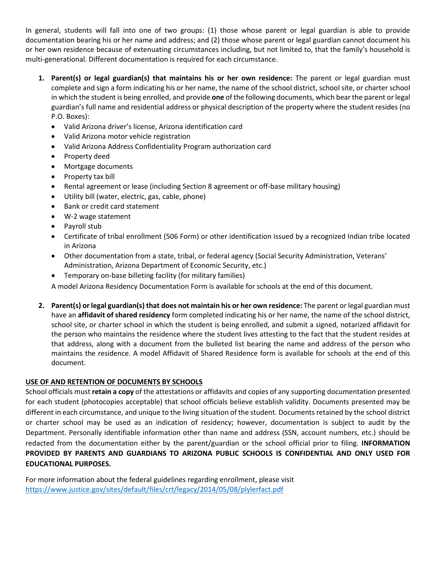In general, students will fall into one of two groups: (1) those whose parent or legal guardian is able to provide documentation bearing his or her name and address; and (2) those whose parent or legal guardian cannot document his or her own residence because of extenuating circumstances including, but not limited to, that the family's household is multi-generational. Different documentation is required for each circumstance.

- **1. Parent(s) or legal guardian(s) that maintains his or her own residence:** The parent or legal guardian must complete and sign a form indicating his or her name, the name of the school district, school site, or charter school in which the student is being enrolled, and provide **one** of the following documents, which bear the parent or legal guardian's full name and residential address or physical description of the property where the student resides (no P.O. Boxes):
	- Valid Arizona driver's license, Arizona identification card
	- Valid Arizona motor vehicle registration
	- Valid Arizona Address Confidentiality Program authorization card
	- Property deed
	- Mortgage documents
	- Property tax bill
	- Rental agreement or lease (including Section 8 agreement or off-base military housing)
	- Utility bill (water, electric, gas, cable, phone)
	- Bank or credit card statement
	- W-2 wage statement
	- Payroll stub
	- Certificate of tribal enrollment (506 Form) or other identification issued by a recognized Indian tribe located in Arizona
	- Other documentation from a state, tribal, or federal agency (Social Security Administration, Veterans' Administration, Arizona Department of Economic Security, etc.)
	- Temporary on-base billeting facility (for military families)

A model Arizona Residency Documentation Form is available for schools at the end of this document.

**2. Parent(s) or legal guardian(s) that does not maintain his or her own residence:** The parent or legal guardian must have an **affidavit of shared residency** form completed indicating his or her name, the name of the school district, school site, or charter school in which the student is being enrolled, and submit a signed, notarized affidavit for the person who maintains the residence where the student lives attesting to the fact that the student resides at that address, along with a document from the bulleted list bearing the name and address of the person who maintains the residence. A model Affidavit of Shared Residence form is available for schools at the end of this document.

## **USE OF AND RETENTION OF DOCUMENTS BY SCHOOLS**

School officials must **retain a copy** of the attestations or affidavits and copies of any supporting documentation presented for each student (photocopies acceptable) that school officials believe establish validity. Documents presented may be different in each circumstance, and unique to the living situation of the student. Documents retained by the school district or charter school may be used as an indication of residency; however, documentation is subject to audit by the Department. Personally identifiable information other than name and address (SSN, account numbers, etc.) should be redacted from the documentation either by the parent/guardian or the school official prior to filing. **INFORMATION PROVIDED BY PARENTS AND GUARDIANS TO ARIZONA PUBLIC SCHOOLS IS CONFIDENTIAL AND ONLY USED FOR EDUCATIONAL PURPOSES.**

For more information about the federal guidelines regarding enrollment, please visit https://www.justice.gov/sites/default/files/crt/legacy/2014/05/08/plylerfact.pdf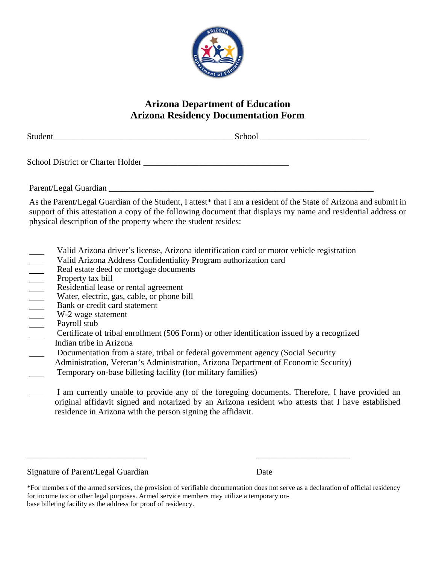

## **Arizona Department of Education Arizona Residency Documentation Form**

| Student | $\sim$ $\sim$ |
|---------|---------------|
|         |               |

School District or Charter Holder

Parent/Legal Guardian

As the Parent/Legal Guardian of the Student, I attest\* that I am a resident of the State of Arizona and submit in support of this attestation a copy of the following document that displays my name and residential address or physical description of the property where the student resides:

- Valid Arizona driver's license, Arizona identification card or motor vehicle registration
- Valid Arizona Address Confidentiality Program authorization card<br>
Real estate deed or mortgage documents<br>
Property tax bill<br>
Residential lease or rental agreement<br>
Water, electric, gas, cable, or phone bill<br>
Bank or credit
- Real estate deed or mortgage documents
- Property tax bill
- Residential lease or rental agreement
- Water, electric, gas, cable, or phone bill
- Bank or credit card statement
- W-2 wage statement
- Payroll stub
- Certificate of tribal enrollment (506 Form) or other identification issued by a recognized Indian tribe in Arizona
- Documentation from a state, tribal or federal government agency (Social Security
- Administration, Veteran's Administration, Arizona Department of Economic Security)

\_\_\_\_\_\_\_\_\_\_\_\_\_\_\_\_\_\_\_\_\_\_\_\_\_\_\_\_ \_\_\_\_\_\_\_\_\_\_\_\_\_\_\_\_\_\_\_\_\_\_

- Temporary on-base billeting facility (for military families)
- I am currently unable to provide any of the foregoing documents. Therefore, I have provided an original affidavit signed and notarized by an Arizona resident who attests that I have established residence in Arizona with the person signing the affidavit.

Signature of Parent/Legal Guardian Date

<sup>\*</sup>For members of the armed services, the provision of verifiable documentation does not serve as a declaration of official residency for income tax or other legal purposes. Armed service members may utilize a temporary onbase billeting facility as the address for proof of residency.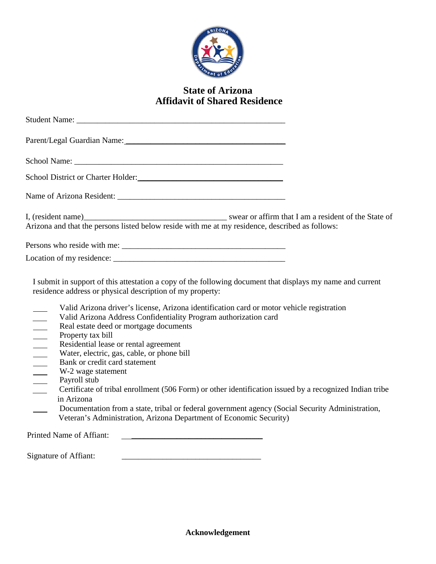

# **State of Arizona Affidavit of Shared Residence**

| Parent/Legal Guardian Name: 1988 and 2008 and 2008 and 2008 and 2008 and 2008 and 2008 and 2008 and 2008 and 20                                                                                                                                                                                                                                                                                                                                                                                                                                                                                                                                                                                                                                                                                                                                                                                                                                              |  |
|--------------------------------------------------------------------------------------------------------------------------------------------------------------------------------------------------------------------------------------------------------------------------------------------------------------------------------------------------------------------------------------------------------------------------------------------------------------------------------------------------------------------------------------------------------------------------------------------------------------------------------------------------------------------------------------------------------------------------------------------------------------------------------------------------------------------------------------------------------------------------------------------------------------------------------------------------------------|--|
|                                                                                                                                                                                                                                                                                                                                                                                                                                                                                                                                                                                                                                                                                                                                                                                                                                                                                                                                                              |  |
| School District or Charter Holder:                                                                                                                                                                                                                                                                                                                                                                                                                                                                                                                                                                                                                                                                                                                                                                                                                                                                                                                           |  |
|                                                                                                                                                                                                                                                                                                                                                                                                                                                                                                                                                                                                                                                                                                                                                                                                                                                                                                                                                              |  |
| I, (resident name)<br>Arizona and that the persons listed below reside with me at my residence, described as follows:                                                                                                                                                                                                                                                                                                                                                                                                                                                                                                                                                                                                                                                                                                                                                                                                                                        |  |
|                                                                                                                                                                                                                                                                                                                                                                                                                                                                                                                                                                                                                                                                                                                                                                                                                                                                                                                                                              |  |
|                                                                                                                                                                                                                                                                                                                                                                                                                                                                                                                                                                                                                                                                                                                                                                                                                                                                                                                                                              |  |
| I submit in support of this attestation a copy of the following document that displays my name and current<br>residence address or physical description of my property:<br>Valid Arizona driver's license, Arizona identification card or motor vehicle registration<br>Valid Arizona Address Confidentiality Program authorization card<br>$\overline{\phantom{a}}$<br>Real estate deed or mortgage documents<br>$\overline{\phantom{a}}$<br>Property tax bill<br>Residential lease or rental agreement<br>Water, electric, gas, cable, or phone bill<br>Bank or credit card statement<br>W-2 wage statement<br>Payroll stub<br>Certificate of tribal enrollment (506 Form) or other identification issued by a recognized Indian tribe<br>in Arizona<br>Documentation from a state, tribal or federal government agency (Social Security Administration,<br>Veteran's Administration, Arizona Department of Economic Security)<br>Printed Name of Affiant: |  |
| Signature of Affiant:                                                                                                                                                                                                                                                                                                                                                                                                                                                                                                                                                                                                                                                                                                                                                                                                                                                                                                                                        |  |
|                                                                                                                                                                                                                                                                                                                                                                                                                                                                                                                                                                                                                                                                                                                                                                                                                                                                                                                                                              |  |